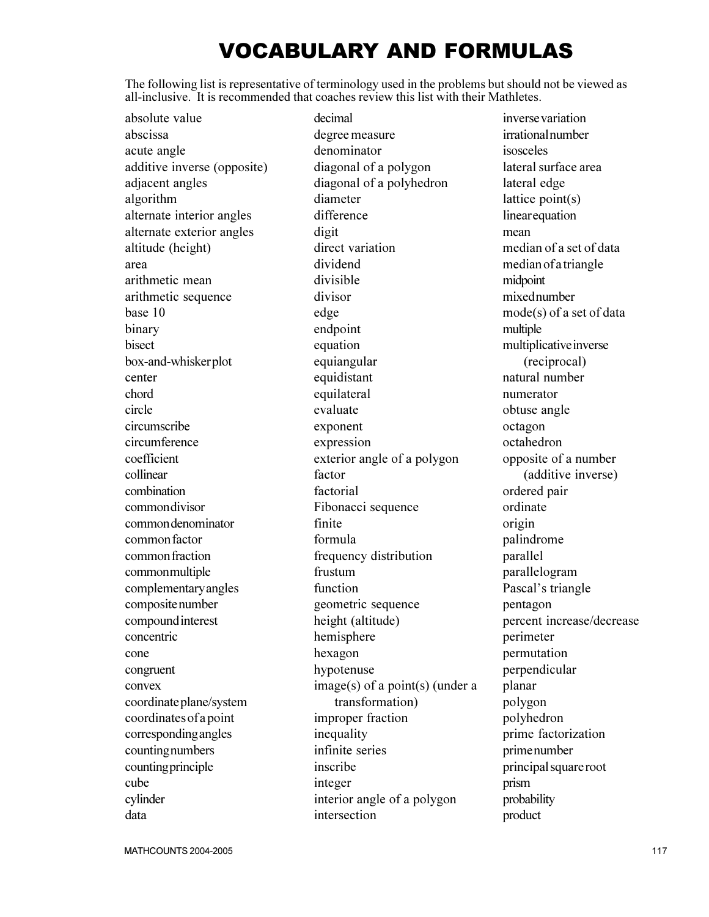## VOCABULARY AND FORMULAS

The following list is representative of terminology used in the problems but should not be viewed as all-inclusive. It is recommended that coaches review this list with their Mathletes.

absolute value abscissa acute angle additive inverse (opposite) adjacent angles algorithm alternate interior angles alternate exterior angles altitude (height) area arithmetic mean arithmetic sequence base 10 binary bisect box-and-whisker plot center chord circle circumscribe circumference coefficient collinear combination common divisor common denominator common factor common fraction common multiple complementary angles composite number compound interest concentric cone congruent convex coordinate plane/system coordinates of a point corresponding angles counting numbers counting principle cube cylinder data

decimal degree measure denominator diagonal of a polygon diagonal of a polyhedron diameter difference digit direct variation dividend divisible divisor edge endpoint equation equiangular equidistant equilateral evaluate exponent expression exterior angle of a polygon factor factorial Fibonacci sequence finite formula frequency distribution frustum function geometric sequence height (altitude) hemisphere hexagon hypotenuse image(s) of a point(s) (under a transformation) improper fraction inequality infinite series inscribe integer interior angle of a polygon intersection

inverse variation irrational number isosceles lateral surface area lateral edge lattice point(s) linear equation mean median of a set of data median of a triangle midpoint mixed number mode(s) of a set of data multiple multiplicative inverse (reciprocal) natural number numerator obtuse angle octagon octahedron opposite of a number (additive inverse) ordered pair ordinate origin palindrome parallel parallelogram Pascal's triangle pentagon percent increase/decrease perimeter permutation perpendicular planar polygon polyhedron prime factorization prime number principal square root prism probability product